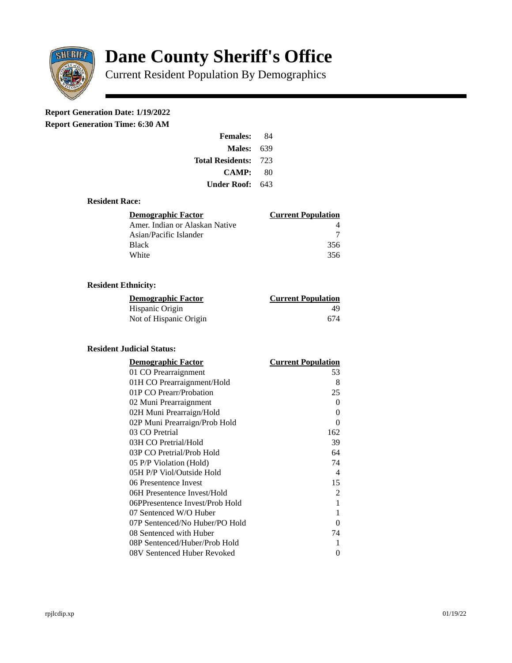

# **Dane County Sheriff's Office**

Current Resident Population By Demographics

# **Report Generation Date: 1/19/2022**

**Report Generation Time: 6:30 AM** 

| <b>Females:</b>         | 84  |
|-------------------------|-----|
| Males:                  | 639 |
| <b>Total Residents:</b> | 723 |
| CAMP:                   | 80  |
| Under Roof:             | 643 |

#### **Resident Race:**

| Demographic Factor             | <b>Current Population</b> |
|--------------------------------|---------------------------|
| Amer. Indian or Alaskan Native |                           |
| Asian/Pacific Islander         |                           |
| Black                          | 356                       |
| White                          | 356                       |

## **Resident Ethnicity:**

| <u>Demographic Factor</u> | <u>Current Population</u> |
|---------------------------|---------------------------|
| Hispanic Origin           | 49                        |
| Not of Hispanic Origin    | 674                       |

### **Resident Judicial Status:**

| <b>Demographic Factor</b>       | <b>Current Population</b>  |
|---------------------------------|----------------------------|
| 01 CO Prearraignment            | 53                         |
| 01H CO Prearraignment/Hold      | 8                          |
| 01P CO Prearr/Probation         | 25                         |
| 02 Muni Prearraignment          | 0                          |
| 02H Muni Prearraign/Hold        | 0                          |
| 02P Muni Prearraign/Prob Hold   | 0                          |
| 03 CO Pretrial                  | 162                        |
| 03H CO Pretrial/Hold            | 39                         |
| 03P CO Pretrial/Prob Hold       | 64                         |
| 05 P/P Violation (Hold)         | 74                         |
| 05H P/P Viol/Outside Hold       | $\boldsymbol{\mathcal{A}}$ |
| 06 Presentence Invest           | 15                         |
| 06H Presentence Invest/Hold     | $\overline{2}$             |
| 06PPresentence Invest/Prob Hold | 1                          |
| 07 Sentenced W/O Huber          | 1                          |
| 07P Sentenced/No Huber/PO Hold  | 0                          |
| 08 Sentenced with Huber         | 74                         |
| 08P Sentenced/Huber/Prob Hold   | 1                          |
| 08V Sentenced Huber Revoked     | 0                          |